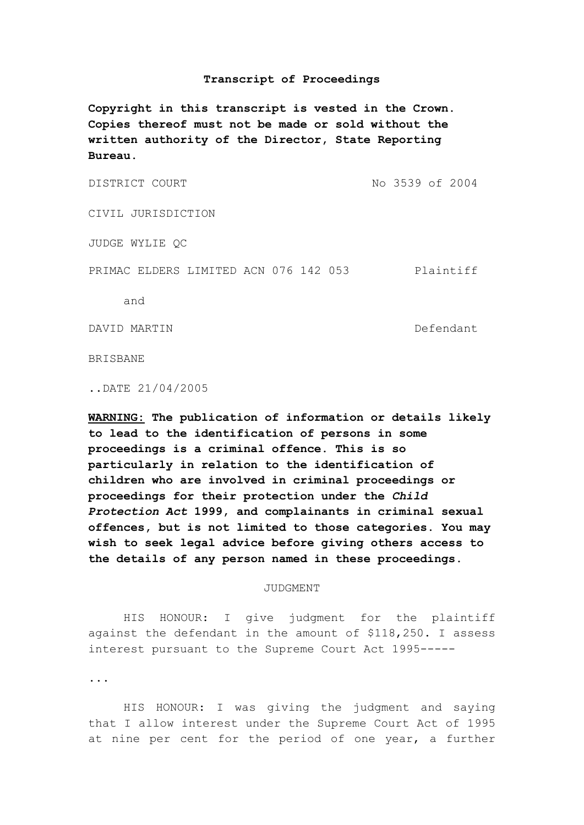## **Transcript of Proceedings**

**Copyright in this transcript is vested in the Crown. Copies thereof must not be made or sold without the written authority of the Director, State Reporting Bureau**.

DISTRICT COURT THE RESERVE OF 2004 CIVIL JURISDICTION JUDGE WYLIE QC PRIMAC ELDERS LIMITED ACN 076 142 053 Plaintiff and

DAVID MARTIN Defendant

BRISBANE

..DATE 21/04/2005

**WARNING: The publication of information or details likely to lead to the identification of persons in some proceedings is a criminal offence. This is so particularly in relation to the identification of children who are involved in criminal proceedings or proceedings for their protection under the** *Child Protection Act* **1999, and complainants in criminal sexual offences, but is not limited to those categories. You may wish to seek legal advice before giving others access to the details of any person named in these proceedings.**

## JUDGMENT

HIS HONOUR: I give judgment for the plaintiff against the defendant in the amount of \$118,250. I assess interest pursuant to the Supreme Court Act 1995-----

...

HIS HONOUR: I was giving the judgment and saying that I allow interest under the Supreme Court Act of 1995 at nine per cent for the period of one year, a further